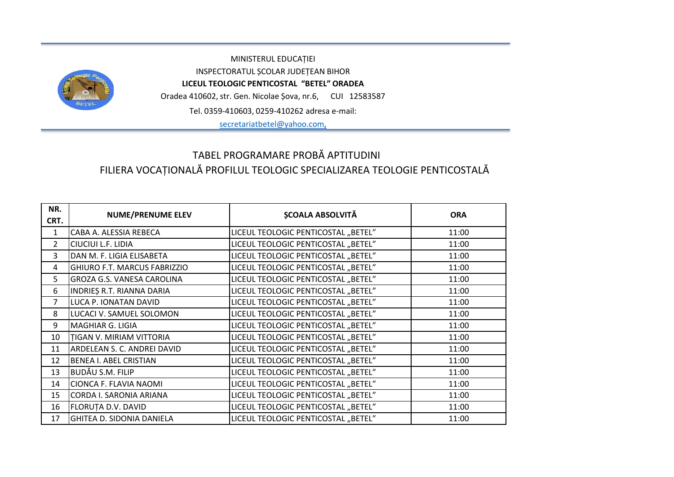

MINISTERUL EDUCAȚIEI INSPECTORATUL ȘCOLAR JUDEȚEAN BIHOR **LICEUL TEOLOGIC PENTICOSTAL "BETEL" ORADEA** Oradea 410602, str. Gen. Nicolae Șova, nr.6, CUI 12583587 Tel. 0359-410603, 0259-410262 adresa e-mail:

[secretariatbetel@yahoo.com,](mailto:secretariatbetel@yahoo.com)

## TABEL PROGRAMARE PROBĂ APTITUDINI FILIERA VOCAȚIONALĂ PROFILUL TEOLOGIC SPECIALIZAREA TEOLOGIE PENTICOSTALĂ

| NR.<br>CRT.    | <b>NUME/PRENUME ELEV</b>          | <b>ȘCOALA ABSOLVITĂ</b>             | <b>ORA</b> |
|----------------|-----------------------------------|-------------------------------------|------------|
| $\mathbf{1}$   | CABA A. ALESSIA REBECA            | LICEUL TEOLOGIC PENTICOSTAL "BETEL" | 11:00      |
| $\mathcal{P}$  | CIUCIUI L.F. LIDIA                | LICEUL TEOLOGIC PENTICOSTAL "BETEL" | 11:00      |
| 3              | DAN M. F. LIGIA ELISABETA         | LICEUL TEOLOGIC PENTICOSTAL "BETEL" | 11:00      |
| 4              | GHIURO F.T. MARCUS FABRIZZIO      | LICEUL TEOLOGIC PENTICOSTAL "BETEL" | 11:00      |
| 5              | <b>GROZA G.S. VANESA CAROLINA</b> | LICEUL TEOLOGIC PENTICOSTAL "BETEL" | 11:00      |
| 6              | INDRIES R.T. RIANNA DARIA         | LICEUL TEOLOGIC PENTICOSTAL "BETEL" | 11:00      |
| $\overline{7}$ | LUCA P. IONATAN DAVID             | LICEUL TEOLOGIC PENTICOSTAL "BETEL" | 11:00      |
| 8              | LUCACI V. SAMUEL SOLOMON          | LICEUL TEOLOGIC PENTICOSTAL "BETEL" | 11:00      |
| 9              | MAGHIAR G. LIGIA                  | LICEUL TEOLOGIC PENTICOSTAL "BETEL" | 11:00      |
| 10             | TIGAN V. MIRIAM VITTORIA          | LICEUL TEOLOGIC PENTICOSTAL "BETEL" | 11:00      |
| 11             | ARDELEAN S. C. ANDREI DAVID       | LICEUL TEOLOGIC PENTICOSTAL "BETEL" | 11:00      |
| 12             | <b>BENEA I. ABEL CRISTIAN</b>     | LICEUL TEOLOGIC PENTICOSTAL "BETEL" | 11:00      |
| 13             | <b>BUDĂU S.M. FILIP</b>           | LICEUL TEOLOGIC PENTICOSTAL "BETEL" | 11:00      |
| 14             | <b>CIONCA F. FLAVIA NAOMI</b>     | LICEUL TEOLOGIC PENTICOSTAL "BETEL" | 11:00      |
| 15             | CORDA I. SARONIA ARIANA           | LICEUL TEOLOGIC PENTICOSTAL "BETEL" | 11:00      |
| 16             | <b>FLORUTA D.V. DAVID</b>         | LICEUL TEOLOGIC PENTICOSTAL "BETEL" | 11:00      |
| 17             | <b>GHITEA D. SIDONIA DANIELA</b>  | LICEUL TEOLOGIC PENTICOSTAL "BETEL" | 11:00      |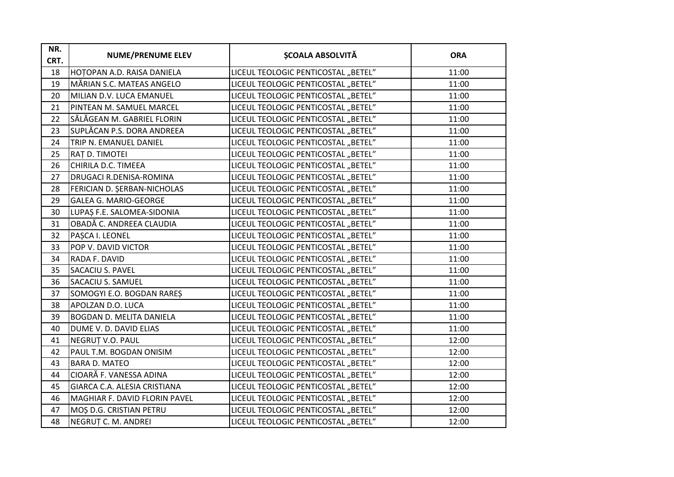| NR.<br>CRT. | <b>NUME/PRENUME ELEV</b>        | <b>ȘCOALA ABSOLVITĂ</b>             | <b>ORA</b> |
|-------------|---------------------------------|-------------------------------------|------------|
| 18          | HOTOPAN A.D. RAISA DANIELA      | LICEUL TEOLOGIC PENTICOSTAL "BETEL" | 11:00      |
| 19          | MĂRIAN S.C. MATEAS ANGELO       | LICEUL TEOLOGIC PENTICOSTAL "BETEL" | 11:00      |
| 20          | MILIAN D.V. LUCA EMANUEL        | LICEUL TEOLOGIC PENTICOSTAL "BETEL" | 11:00      |
| 21          | PINTEAN M. SAMUEL MARCEL        | LICEUL TEOLOGIC PENTICOSTAL "BETEL" | 11:00      |
| 22          | SĂLĂGEAN M. GABRIEL FLORIN      | LICEUL TEOLOGIC PENTICOSTAL "BETEL" | 11:00      |
| 23          | SUPLĂCAN P.S. DORA ANDREEA      | LICEUL TEOLOGIC PENTICOSTAL "BETEL" | 11:00      |
| 24          | TRIP N. EMANUEL DANIEL          | LICEUL TEOLOGIC PENTICOSTAL "BETEL" | 11:00      |
| 25          | <b>RAT D. TIMOTEI</b>           | LICEUL TEOLOGIC PENTICOSTAL "BETEL" | 11:00      |
| 26          | CHIRILA D.C. TIMEEA             | LICEUL TEOLOGIC PENTICOSTAL "BETEL" | 11:00      |
| 27          | DRUGACI R.DENISA-ROMINA         | LICEUL TEOLOGIC PENTICOSTAL "BETEL" | 11:00      |
| 28          | FERICIAN D. ŞERBAN-NICHOLAS     | LICEUL TEOLOGIC PENTICOSTAL "BETEL" | 11:00      |
| 29          | <b>GALEA G. MARIO-GEORGE</b>    | LICEUL TEOLOGIC PENTICOSTAL "BETEL" | 11:00      |
| 30          | LUPAȘ F.E. SALOMEA-SIDONIA      | LICEUL TEOLOGIC PENTICOSTAL "BETEL" | 11:00      |
| 31          | OBADĂ C. ANDREEA CLAUDIA        | LICEUL TEOLOGIC PENTICOSTAL "BETEL" | 11:00      |
| 32          | PAȘCA I. LEONEL                 | LICEUL TEOLOGIC PENTICOSTAL "BETEL" | 11:00      |
| 33          | POP V. DAVID VICTOR             | LICEUL TEOLOGIC PENTICOSTAL "BETEL" | 11:00      |
| 34          | RADA F. DAVID                   | LICEUL TEOLOGIC PENTICOSTAL "BETEL" | 11:00      |
| 35          | <b>SACACIU S. PAVEL</b>         | LICEUL TEOLOGIC PENTICOSTAL "BETEL" | 11:00      |
| 36          | <b>SACACIU S. SAMUEL</b>        | LICEUL TEOLOGIC PENTICOSTAL "BETEL" | 11:00      |
| 37          | SOMOGYI E.O. BOGDAN RARES       | LICEUL TEOLOGIC PENTICOSTAL "BETEL" | 11:00      |
| 38          | APOLZAN D.O. LUCA               | LICEUL TEOLOGIC PENTICOSTAL "BETEL" | 11:00      |
| 39          | <b>BOGDAN D. MELITA DANIELA</b> | LICEUL TEOLOGIC PENTICOSTAL "BETEL" | 11:00      |
| 40          | DUME V. D. DAVID ELIAS          | LICEUL TEOLOGIC PENTICOSTAL "BETEL" | 11:00      |
| 41          | NEGRUT V.O. PAUL                | LICEUL TEOLOGIC PENTICOSTAL "BETEL" | 12:00      |
| 42          | PAUL T.M. BOGDAN ONISIM         | LICEUL TEOLOGIC PENTICOSTAL "BETEL" | 12:00      |
| 43          | <b>BARA D. MATEO</b>            | LICEUL TEOLOGIC PENTICOSTAL "BETEL" | 12:00      |
| 44          | CIOARĂ F. VANESSA ADINA         | LICEUL TEOLOGIC PENTICOSTAL "BETEL" | 12:00      |
| 45          | GIARCA C.A. ALESIA CRISTIANA    | LICEUL TEOLOGIC PENTICOSTAL "BETEL" | 12:00      |
| 46          | MAGHIAR F. DAVID FLORIN PAVEL   | LICEUL TEOLOGIC PENTICOSTAL "BETEL" | 12:00      |
| 47          | MOȘ D.G. CRISTIAN PETRU         | LICEUL TEOLOGIC PENTICOSTAL "BETEL" | 12:00      |
| 48          | NEGRUT C. M. ANDREI             | LICEUL TEOLOGIC PENTICOSTAL "BETEL" | 12:00      |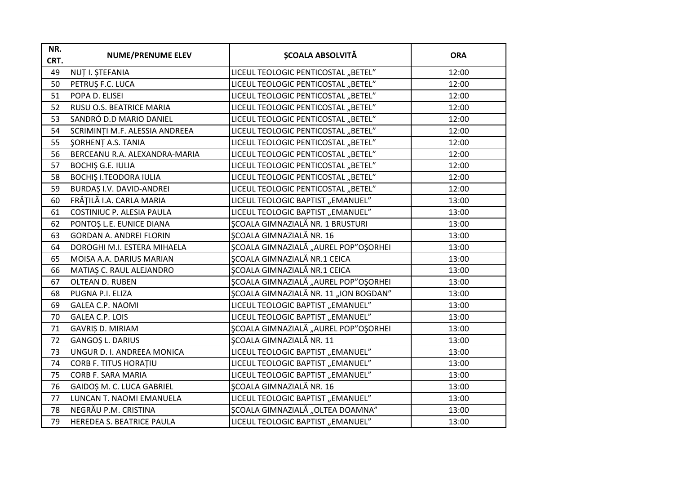| NR.<br>CRT. | <b>NUME/PRENUME ELEV</b>        | <b>SCOALA ABSOLVITĂ</b>               | <b>ORA</b> |
|-------------|---------------------------------|---------------------------------------|------------|
| 49          | NUȚ I. ȘTEFANIA                 | LICEUL TEOLOGIC PENTICOSTAL "BETEL"   | 12:00      |
| 50          | PETRUȘ F.C. LUCA                | LICEUL TEOLOGIC PENTICOSTAL "BETEL"   | 12:00      |
| 51          | POPA D. ELISEI                  | LICEUL TEOLOGIC PENTICOSTAL "BETEL"   | 12:00      |
| 52          | <b>RUSU O.S. BEATRICE MARIA</b> | LICEUL TEOLOGIC PENTICOSTAL "BETEL"   | 12:00      |
| 53          | SANDRÓ D.D MARIO DANIEL         | LICEUL TEOLOGIC PENTICOSTAL "BETEL"   | 12:00      |
| 54          | SCRIMINȚI M.F. ALESSIA ANDREEA  | LICEUL TEOLOGIC PENTICOSTAL "BETEL"   | 12:00      |
| 55          | SORHENT A.S. TANIA              | LICEUL TEOLOGIC PENTICOSTAL "BETEL"   | 12:00      |
| 56          | BERCEANU R.A. ALEXANDRA-MARIA   | LICEUL TEOLOGIC PENTICOSTAL "BETEL"   | 12:00      |
| 57          | <b>BOCHIȘ G.E. IULIA</b>        | LICEUL TEOLOGIC PENTICOSTAL "BETEL"   | 12:00      |
| 58          | <b>BOCHIȘ I.TEODORA IULIA</b>   | LICEUL TEOLOGIC PENTICOSTAL "BETEL"   | 12:00      |
| 59          | <b>BURDAS I.V. DAVID-ANDREI</b> | LICEUL TEOLOGIC PENTICOSTAL "BETEL"   | 12:00      |
| 60          | FRĂȚILĂ I.A. CARLA MARIA        | LICEUL TEOLOGIC BAPTIST "EMANUEL"     | 13:00      |
| 61          | COSTINIUC P. ALESIA PAULA       | LICEUL TEOLOGIC BAPTIST "EMANUEL"     | 13:00      |
| 62          | PONTOȘ L.E. EUNICE DIANA        | SCOALA GIMNAZIALĂ NR. 1 BRUSTURI      | 13:00      |
| 63          | <b>GORDAN A. ANDREI FLORIN</b>  | <b>SCOALA GIMNAZIALĂ NR. 16</b>       | 13:00      |
| 64          | DOROGHI M.I. ESTERA MIHAELA     | ȘCOALA GIMNAZIALĂ "AUREL POP"OȘORHEI  | 13:00      |
| 65          | MOISA A.A. DARIUS MARIAN        | SCOALA GIMNAZIALĂ NR.1 CEICA          | 13:00      |
| 66          | MATIAȘ C. RAUL ALEJANDRO        | <b>ȘCOALA GIMNAZIALĂ NR.1 CEICA</b>   | 13:00      |
| 67          | OLTEAN D. RUBEN                 | ȘCOALA GIMNAZIALĂ "AUREL POP"OȘORHEI  | 13:00      |
| 68          | PUGNA P.I. ELIZA                | ȘCOALA GIMNAZIALĂ NR. 11 "ION BOGDAN" | 13:00      |
| 69          | <b>GALEA C.P. NAOMI</b>         | LICEUL TEOLOGIC BAPTIST "EMANUEL"     | 13:00      |
| 70          | <b>GALEA C.P. LOIS</b>          | LICEUL TEOLOGIC BAPTIST "EMANUEL"     | 13:00      |
| 71          | GAVRIȘ D. MIRIAM                | ȘCOALA GIMNAZIALĂ "AUREL POP"OȘORHEI  | 13:00      |
| 72          | <b>GANGOS L. DARIUS</b>         | <b>SCOALA GIMNAZIALĂ NR. 11</b>       | 13:00      |
| 73          | UNGUR D. I. ANDREEA MONICA      | LICEUL TEOLOGIC BAPTIST "EMANUEL"     | 13:00      |
| 74          | CORB F. TITUS HORAȚIU           | LICEUL TEOLOGIC BAPTIST "EMANUEL"     | 13:00      |
| 75          | <b>CORB F. SARA MARIA</b>       | LICEUL TEOLOGIC BAPTIST "EMANUEL"     | 13:00      |
| 76          | GAIDOȘ M. C. LUCA GABRIEL       | <b>SCOALA GIMNAZIALĂ NR. 16</b>       | 13:00      |
| 77          | LUNCAN T. NAOMI EMANUELA        | LICEUL TEOLOGIC BAPTIST "EMANUEL"     | 13:00      |
| 78          | NEGRĂU P.M. CRISTINA            | ȘCOALA GIMNAZIALĂ "OLTEA DOAMNA"      | 13:00      |
| 79          | HEREDEA S. BEATRICE PAULA       | LICEUL TEOLOGIC BAPTIST "EMANUEL"     | 13:00      |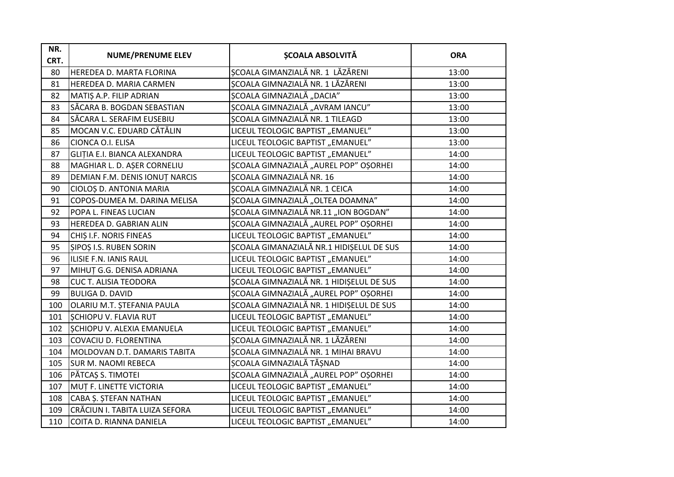| NR.<br>CRT. | <b>NUME/PRENUME ELEV</b>       | <b>ȘCOALA ABSOLVITĂ</b>                  | <b>ORA</b> |
|-------------|--------------------------------|------------------------------------------|------------|
| 80          | HEREDEA D. MARTA FLORINA       | ȘCOALA GIMANZIALĂ NR. 1 LĂZĂRENI         | 13:00      |
| 81          | HEREDEA D. MARIA CARMEN        | SCOALA GIMNAZIALĂ NR. 1 LĂZĂRENI         | 13:00      |
| 82          | MATIȘ A.P. FILIP ADRIAN        | ȘCOALA GIMNAZIALĂ "DACIA"                | 13:00      |
| 83          | SĂCARA B. BOGDAN SEBASTIAN     | ȘCOALA GIMNAZIALĂ "AVRAM IANCU"          | 13:00      |
| 84          | SĂCARA L. SERAFIM EUSEBIU      | SCOALA GIMNAZIALĂ NR. 1 TILEAGD          | 13:00      |
| 85          | MOCAN V.C. EDUARD CĂTĂLIN      | LICEUL TEOLOGIC BAPTIST "EMANUEL"        | 13:00      |
| 86          | CIONCA O.I. ELISA              | LICEUL TEOLOGIC BAPTIST "EMANUEL"        | 13:00      |
| 87          | GLITIA E.I. BIANCA ALEXANDRA   | LICEUL TEOLOGIC BAPTIST "EMANUEL"        | 14:00      |
| 88          | MAGHIAR L. D. AŞER CORNELIU    | ȘCOALA GIMNAZIALĂ "AUREL POP" OȘORHEI    | 14:00      |
| 89          | DEMIAN F.M. DENIS IONUT NARCIS | ȘCOALA GIMNAZIALĂ NR. 16                 | 14:00      |
| 90          | CIOLOȘ D. ANTONIA MARIA        | SCOALA GIMNAZIALĂ NR. 1 CEICA            | 14:00      |
| 91          | COPOS-DUMEA M. DARINA MELISA   | ȘCOALA GIMNAZIALĂ "OLTEA DOAMNA"         | 14:00      |
| 92          | POPA L. FINEAS LUCIAN          | ȘCOALA GIMNAZIALĂ NR.11 "ION BOGDAN"     | 14:00      |
| 93          | HEREDEA D. GABRIAN ALIN        | ȘCOALA GIMNAZIALĂ "AUREL POP" OȘORHEI    | 14:00      |
| 94          | CHIȘ I.F. NORIS FINEAS         | LICEUL TEOLOGIC BAPTIST "EMANUEL"        | 14:00      |
| 95          | SIPOȘ I.S. RUBEN SORIN         | SCOALA GIMANAZIALĂ NR.1 HIDIȘELUL DE SUS | 14:00      |
| 96          | ILISIE F.N. IANIS RAUL         | LICEUL TEOLOGIC BAPTIST "EMANUEL"        | 14:00      |
| 97          | MIHUT G.G. DENISA ADRIANA      | LICEUL TEOLOGIC BAPTIST "EMANUEL"        | 14:00      |
| 98          | <b>CUC T. ALISIA TEODORA</b>   | ȘCOALA GIMNAZIALĂ NR. 1 HIDIȘELUL DE SUS | 14:00      |
| 99          | <b>BULIGA D. DAVID</b>         | ȘCOALA GIMNAZIALĂ "AUREL POP" OȘORHEI    | 14:00      |
| 100         | OLARIU M.T. ȘTEFANIA PAULA     | ȘCOALA GIMNAZIALĂ NR. 1 HIDIȘELUL DE SUS | 14:00      |
| 101         | SCHIOPU V. FLAVIA RUT          | LICEUL TEOLOGIC BAPTIST "EMANUEL"        | 14:00      |
| 102         | SCHIOPU V. ALEXIA EMANUELA     | LICEUL TEOLOGIC BAPTIST "EMANUEL"        | 14:00      |
| 103         | COVACIU D. FLORENTINA          | SCOALA GIMNAZIALĂ NR. 1 LĂZĂRENI         | 14:00      |
| 104         | MOLDOVAN D.T. DAMARIS TABITA   | SCOALA GIMNAZIALĂ NR. 1 MIHAI BRAVU      | 14:00      |
| 105         | <b>SUR M. NAOMI REBECA</b>     | ȘCOALA GIMNAZIALĂ TĂȘNAD                 | 14:00      |
| 106         | PĂTCAȘ S. TIMOTEI              | ȘCOALA GIMNAZIALĂ "AUREL POP" OȘORHEI    | 14:00      |
| 107         | MUT F. LINETTE VICTORIA        | LICEUL TEOLOGIC BAPTIST "EMANUEL"        | 14:00      |
| 108         | CABA Ș. ȘTEFAN NATHAN          | LICEUL TEOLOGIC BAPTIST "EMANUEL"        | 14:00      |
| 109         | CRĂCIUN I. TABITA LUIZA SEFORA | LICEUL TEOLOGIC BAPTIST "EMANUEL"        | 14:00      |
| 110         | COITA D. RIANNA DANIELA        | LICEUL TEOLOGIC BAPTIST "EMANUEL"        | 14:00      |